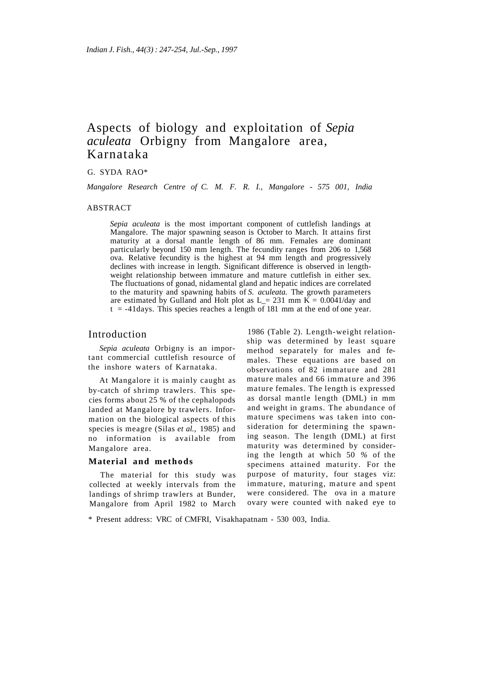# Aspects of biology and exploitation of *Sepia aculeata* Orbigny from Mangalore area, Karnataka

G. SYDA RAO\*

*Mangalore Research Centre of C. M. F. R. I., Mangalore* - *575 001, India* 

#### ABSTRACT

*Sepia aculeata* is the most important component of cuttlefish landings at Mangalore. The major spawning season is October to March. It attains first maturity at a dorsal mantle length of 86 mm. Females are dominant particularly beyond 150 mm length. The fecundity ranges from 206 to 1,568 ova. Relative fecundity is the highest at 94 mm length and progressively declines with increase in length. Significant difference is observed in lengthweight relationship between immature and mature cuttlefish in either sex. The fluctuations of gonad, nidamental gland and hepatic indices are correlated to the maturity and spawning habits of *S. aculeata.* The growth parameters are estimated by Gulland and Holt plot as  $L = 231$  mm  $\overline{K} = 0.0041$ /day and  $t = -41$  days. This species reaches a length of 181 mm at the end of one year.

# Introduction

*Sepia aculeata* Orbigny is an important commercial cuttlefish resource of the inshore waters of Karnataka.

At Mangalore it is mainly caught as by-catch of shrimp trawlers. This species forms about 25 % of the cephalopods landed at Mangalore by trawlers. Information on the biological aspects of this species is meagre (Silas *et al.,* 1985) and no information is available from Mangalore area.

### **Material and methods**

The material for this study was collected at weekly intervals from the landings of shrimp trawlers at Bunder, Mangalore from April 1982 to March

1986 (Table 2). Length-weight relationship was determined by least square method separately for males and females. These equations are based on observations of 82 immature and 281 mature males and 66 immature and 396 mature females. The length is expressed as dorsal mantle length (DML) in mm and weight in grams. The abundance of mature specimens was taken into consideration for determining the spawning season. The length (DML) at first maturity was determined by considering the length at which 50 *%* of the specimens attained maturity. For the purpose of maturity, four stages viz: immature, maturing, mature and spent were considered. The ova in a mature ovary were counted with naked eye to

\* Present address: VRC of CMFRI, Visakhapatnam - 530 003, India.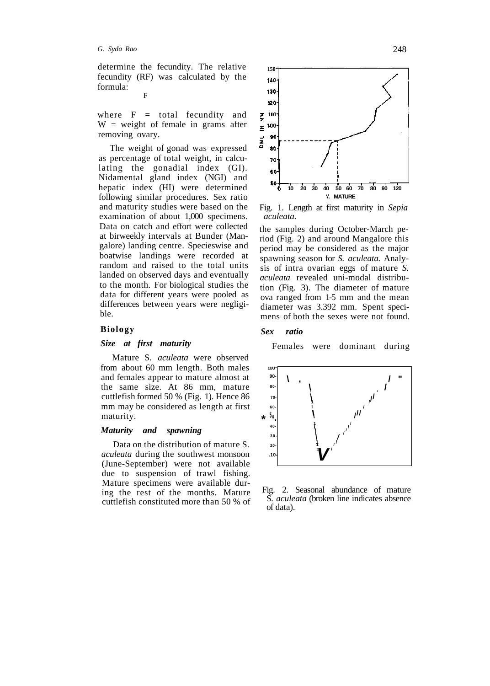determine the fecundity. The relative fecundity (RF) was calculated by the formula: F

where 
$$
F = total
$$
 fecundity and  $W = weight$  of female in grams after removing ovary.

The weight of gonad was expressed as percentage of total weight, in calculating the gonadial index (GI). Nidamental gland index (NGI) and hepatic index (HI) were determined following similar procedures. Sex ratio and maturity studies were based on the examination of about 1,000 specimens. Data on catch and effort were collected at birweekly intervals at Bunder (Mangalore) landing centre. Specieswise and boatwise landings were recorded at random and raised to the total units landed on observed days and eventually to the month. For biological studies the data for different years were pooled as differences between years were negligible.

### **Biology**

### *Size at first maturity*

Mature S. *aculeata* were observed from about 60 mm length. Both males and females appear to mature almost at the same size. At 86 mm, mature cuttlefish formed 50 % (Fig. 1). Hence 86 mm may be considered as length at first maturity.

#### *Maturity and spawning*

Data on the distribution of mature S. *aculeata* during the southwest monsoon (June-September) were not available due to suspension of trawl fishing. Mature specimens were available during the rest of the months. Mature cuttlefish constituted more than 50 % of



Fig. 1. Length at first maturity in *Sepia aculeata.* 

the samples during October-March period (Fig. 2) and around Mangalore this period may be considered as the major spawning season for *S. aculeata.* Analysis of intra ovarian eggs of mature *S. aculeata* revealed uni-modal distribution (Fig. 3). The diameter of mature ova ranged from 1-5 mm and the mean diameter was 3.392 mm. Spent specimens of both the sexes were not found.

#### *Sex ratio*

Females were dominant during



Fig. 2. Seasonal abundance of mature S. *aculeata* (broken line indicates absence of data).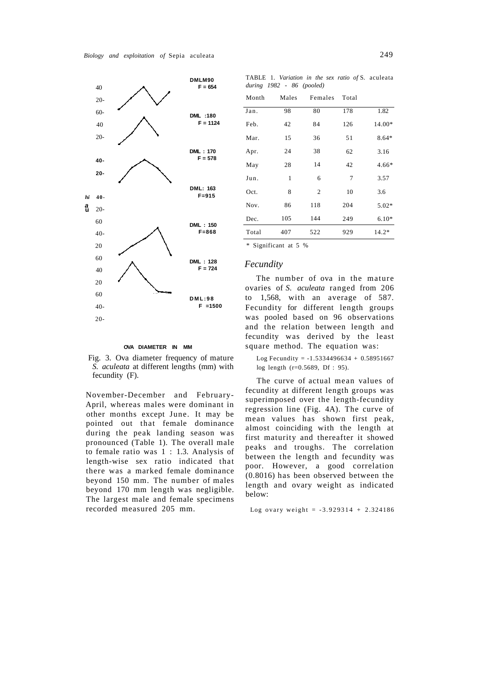

### TABLE 1. *Variation in the sex ratio of* S. aculeata *during 1982* - *86 (pooled)*

| Month | Males | Females | Total |         |
|-------|-------|---------|-------|---------|
| Jan.  | 98    | 80      | 178   | 1.82    |
| Feb.  | 42    | 84      | 126   | 14.00*  |
| Mar.  | 15    | 36      | 51    | 8.64*   |
| Apr.  | 24    | 38      | 62    | 3.16    |
| May   | 28    | 14      | 42    | $4.66*$ |
| Jun.  | 1     | 6       | 7     | 3.57    |
| Oct.  | 8     | 2       | 10    | 3.6     |
| Nov.  | 86    | 118     | 204   | $5.02*$ |
| Dec.  | 105   | 144     | 249   | $6.10*$ |
| Total | 407   | 522     | 929   | $14.2*$ |
|       |       |         |       |         |

\* Significant at 5 %

### *Fecundity*

The number of ova in the mature ovaries of *S. aculeata* ranged from 206 to 1,568, with an average of 587. Fecundity for different length groups was pooled based on 96 observations and the relation between length and fecundity was derived by the least square method. The equation was:

Log Fecundity =  $-1.5334496634 + 0.58951667$ log length (r=0.5689, Df : 95).

The curve of actual mean values of fecundity at different length groups was superimposed over the length-fecundity regression line (Fig. 4A). The curve of mean values has shown first peak, almost coinciding with the length at first maturity and thereafter it showed peaks and troughs. The correlation between the length and fecundity was poor. However, a good correlation (0.8016) has been observed between the length and ovary weight as indicated below:

#### Log ovary weight =  $-3.929314 + 2.324186$

#### **OVA DIAMETER IN MM**

Fig. 3. Ova diameter frequency of mature *S. aculeata* at different lengths (mm) with fecundity (F).

November-December and February-April, whereas males were dominant in other months except June. It may be pointed out that female dominance during the peak landing season was pronounced (Table 1). The overall male to female ratio was 1 : 1.3. Analysis of length-wise sex ratio indicated that there was a marked female dominance beyond 150 mm. The number of males beyond 170 mm length was negligible. The largest male and female specimens recorded measured 205 mm.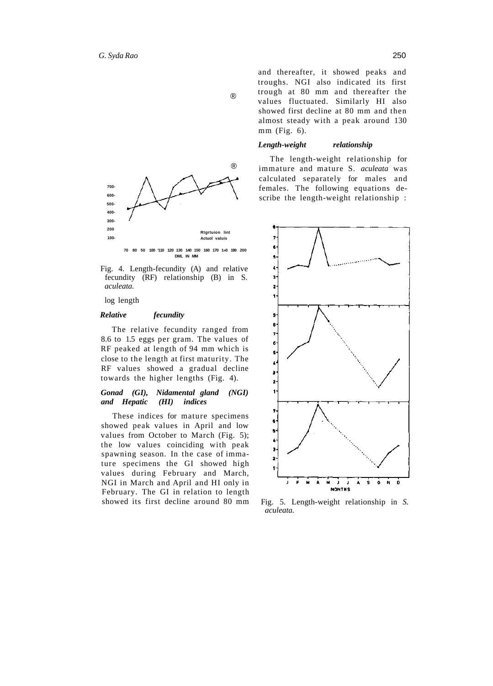





log length

#### *Relative fecundity*

The relative fecundity ranged from 8.6 to 1.5 eggs per gram. The values of RF peaked at length of 94 mm which is close to the length at first maturity. The RF values showed a gradual decline towards the higher lengths (Fig. 4).

# *Gonad (GI), Nidamental gland (NGI) and Hepatic (HI) indices*

These indices for mature specimens showed peak values in April and low values from October to March (Fig. 5); the low values coinciding with peak spawning season. In the case of immature specimens the GI showed high values during February and March, NGI in March and April and HI only in February. The GI in relation to length showed its first decline around 80 mm and thereafter, it showed peaks and troughs. NGI also indicated its first trough at 80 mm and thereafter the values fluctuated. Similarly HI also showed first decline at 80 mm and then almost steady with a peak around 130 mm (Fig. 6).

### *Length-weight relationship*

The length-weight relationship for immature and mature S. *aculeata* was calculated separately for males and females. The following equations describe the length-weight relationship :



Fig. 5. Length-weight relationship in *S. aculeata.*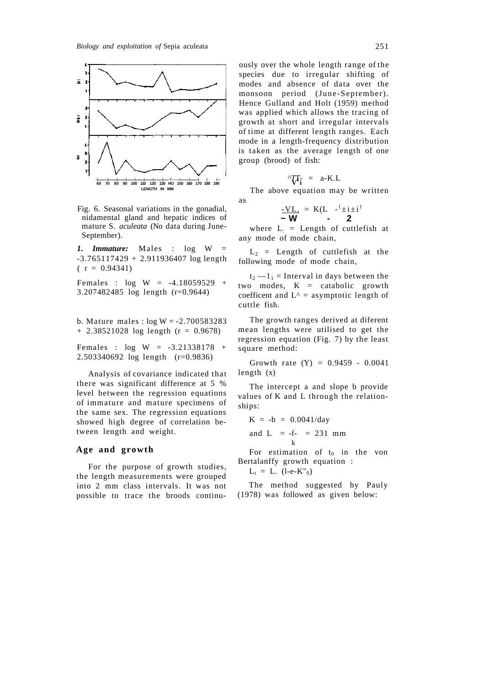

Fig. 6. Seasonal variations in the gonadial, nidamental gland and hepatic indices of mature S. *aculeata* (No data during June-September).

*1. Immature:* Males : log W = -3.765117429 + 2.911936407 log length  $(r = 0.94341)$ 

Females : log W = -4.18059529 + 3.207482485 log length (r=0.9644)

b. Mature males :  $log W = -2.700583283$  $+ 2.38521028$  log length (r = 0.9678)

Females : log W = -3.21338178 + 2.503340692 log length (r=0.9836)

Analysis of covariance indicated that there was significant difference at 5 % level between the regression equations of immature and mature specimens of the same sex. The regression equations showed high degree of correlation between length and weight.

### **Age and growth**

For the purpose of growth studies, the length measurements were grouped into 2 mm class intervals. It was not possible to trace the broods continu-

ously over the whole length range of the species due to irregular shifting of modes and absence of data over the monsoon period (June-September). Hence Gulland and Holt (1959) method was applied which allows the tracing of growth at short and irregular intervals of time at different length ranges. Each mode in a length-frequency distribution is taken as the average length of one group (brood) of fish:

$$
\Delta \mathcal{L} T_{\mathbf{i}} = a-K.L
$$

The above equation may be written

as

$$
\frac{-VL}{\sim W} = \frac{K(L - \frac{1}{2}i \pm i)}{2}
$$

where  $L_i$  = Length of cuttlefish at any mode of mode chain,

 $L_2$  = Length of cuttlefish at the following mode of mode chain,

 $t_2 - 1_1$  = Interval in days between the two modes,  $K =$  catabolic growth coefficent and  $L^A$  = asymptotic length of cuttle fish.

The growth ranges derived at diferent mean lengths were utilised to get the regression equation (Fig. 7) by the least square method:

Growth rate  $(Y) = 0.9459 - 0.0041$ length (x)

The intercept a and slope b provide values of K and L through the relationships:

$$
K = -b = 0.0041/day
$$
  
and L = -f- = 231 mm  
<sub>k</sub>

For estimation of  $t_0$  in the von Bertalanffy growth equation :

 $L_t = L. (l-e-K_{0}^{\prime\prime})$ 

The method suggested by Pauly (1978) was followed as given below: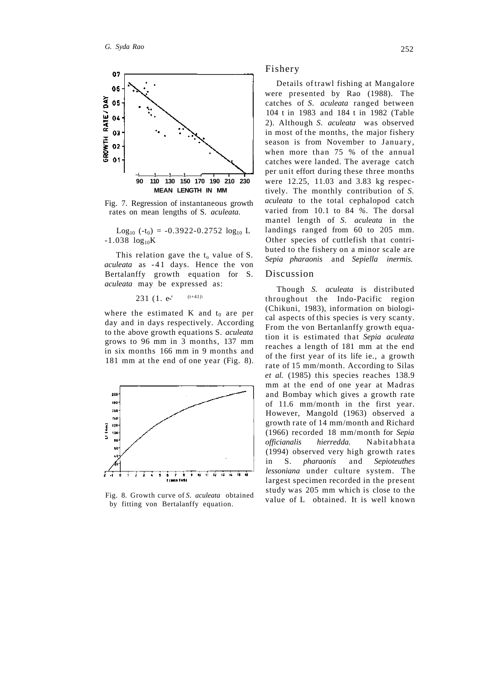

Fig. 7. Regression of instantaneous growth rates on mean lengths of S. *aculeata.* 

 $Log_{10}$  (-t<sub>0</sub>) = -0.3922-0.2752  $log_{10}$  L  $-1.038 \log_{10} K$ 

This relation gave the  $t_0$  value of S. *aculeata* as -41 days. Hence the von Bertalanffy growth equation for S. *aculeata* may be expressed as:

231 (1. 
$$
e^{-t}
$$
 (t+41))

where the estimated K and  $t_0$  are per day and in days respectively. According to the above growth equations S. *aculeata*  grows to 96 mm in 3 months, 137 mm in six months 166 mm in 9 months and 181 mm at the end of one year (Fig. 8).



Fig. 8. Growth curve of *S. aculeata* obtained by fitting von Bertalanffy equation.

### Fishery

Details of trawl fishing at Mangalore were presented by Rao (1988). The catches of *S. aculeata* ranged between 104 t in 1983 and 184 t in 1982 (Table 2). Although *S. aculeata* was observed in most of the months, the major fishery season is from November to January, when more than 75 % of the annual catches were landed. The average catch per unit effort during these three months were 12.25, 11.03 and 3.83 kg respectively. The monthly contribution of *S. aculeata* to the total cephalopod catch varied from 10.1 to 84 *%.* The dorsal mantel length of *S. aculeata* in the landings ranged from 60 to 205 mm. Other species of cuttlefish that contributed to the fishery on a minor scale are *Sepia pharaonis* and *Sepiella inermis.* 

# Discussion

Though *S. aculeata* is distributed throughout the Indo-Pacific region (Chikuni, 1983), information on biological aspects of this species is very scanty. From the von Bertanlanffy growth equation it is estimated that *Sepia aculeata*  reaches a length of 181 mm at the end of the first year of its life ie., a growth rate of 15 mm/month. According to Silas *et al.* (1985) this species reaches 138.9 mm at the end of one year at Madras and Bombay which gives a growth rate of 11.6 mm/month in the first year. However, Mangold (1963) observed a growth rate of 14 mm/month and Richard (1966) recorded 18 mm/month for *Sepia officianalis hierredda.* Nabitabhat a (1994) observed very high growth rates in S. *pharaonis* and *Sepioteuthes lessoniana* under culture system. The largest specimen recorded in the present study was 205 mm which is close to the value of L obtained. It is well known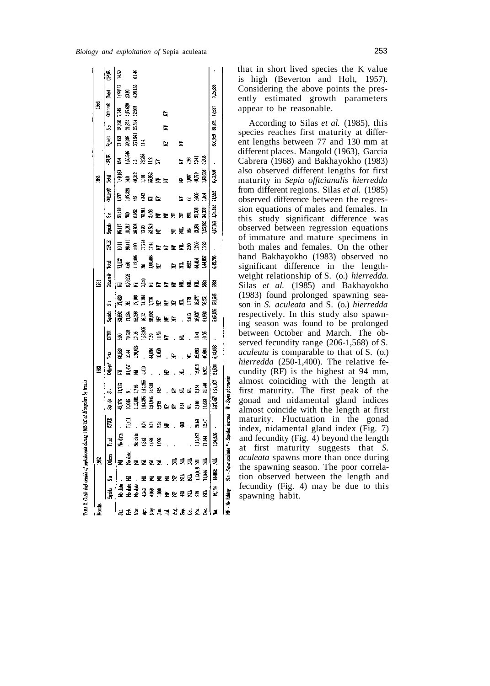|                     |  |                                                 |                |                    |                                   | B                          |              |                                      |                                                 |       | Š              |                                         |                  |                                         |                      |                | š                                               |                   |                    |                       | ă.              |          |               |
|---------------------|--|-------------------------------------------------|----------------|--------------------|-----------------------------------|----------------------------|--------------|--------------------------------------|-------------------------------------------------|-------|----------------|-----------------------------------------|------------------|-----------------------------------------|----------------------|----------------|-------------------------------------------------|-------------------|--------------------|-----------------------|-----------------|----------|---------------|
|                     |  |                                                 | E              | Squids             | å                                 | Others <sup>4</sup>        | <b>Page</b>  | S.                                   | Î.                                              | Ş     | <b>Others®</b> | 뤝                                       | E<br>S           | <b>Spoils</b>                           | s,                   | <b>Otherse</b> | Ě                                               | ₿,                | 遺名                 | S.                    | oderse<br>Ultra | 鳳        | Ë             |
|                     |  |                                                 |                | 45,176             | 21,713                            | 乭                          | 66.88        | å,                                   |                                                 | 17.4% | 룾              |                                         | 高                | 11.38                                   | ធី                   | 57             | <b>AS</b><br>Sina ang Balang<br>Sina ang Balang | 54                | 13,452             | 20,356                | ¦≆              | 1,09,53  | 3             |
|                     |  |                                                 | 71,41          | 10,046             | $\overline{z}$                    |                            | 15.44        |                                      | <b>数スス</b><br>第1253年の<br>第1253年の19月10日 - 19月10日 |       | 8,79.922       | 11.122<br>133,406<br>134,406<br>130,408 | li≸              |                                         | ş                    | 1,07,328       |                                                 | i<br>Balle        | 30,309<br>3,71.961 | 21,574                | 2.07.629        | 33       |               |
|                     |  |                                                 |                | 112.88             | 1745                              | ្ម<br>ឆ្នាំ ធ្ន            | 1,20,624     | 78.86<br>17.86.866<br>17.88<br>17.88 |                                                 |       | Ē.             |                                         |                  | 3883<br>98935                           |                      | ¥              |                                                 |                   |                    | 23.31                 | 12.908          | 1,06,183 | $\frac{4}{5}$ |
|                     |  |                                                 |                |                    |                                   | $\ddot{=}$                 |              |                                      |                                                 |       |                |                                         |                  |                                         |                      |                |                                                 |                   | $\Xi$              |                       |                 |          |               |
|                     |  |                                                 | 555e           |                    | eres<br>Eres                      | $\overline{a}$             |              |                                      |                                                 |       |                |                                         |                  |                                         |                      |                |                                                 |                   |                    |                       |                 |          |               |
|                     |  |                                                 |                |                    |                                   | $\frac{1}{2}$              | स है।<br>म   |                                      |                                                 |       |                |                                         |                  |                                         |                      |                |                                                 |                   |                    |                       |                 |          |               |
|                     |  |                                                 |                |                    |                                   |                            |              |                                      |                                                 |       |                |                                         |                  |                                         |                      |                |                                                 |                   | 医                  | 阜                     | 皇               |          |               |
| e a e e a a e e e e |  |                                                 |                | as<br>Bisheed Bish | . 홍 로 록 <u>박</u> 열<br>- 홍 로 록 달 열 | $\mathcal{L}_{\mathbf{r}}$ | . $\epsilon$ | . 로                                  |                                                 |       | ま<br>コンチンチ ちょう | 보 독행 <u>국내</u><br>부 독행 축구               | <b>SHAFFFFSS</b> | គ្គ គ្ម គ្ម គ្មី<br>ក្ដី គ្មី គ្មី គ្មី | a 23 FFFFF<br>System | 岩 景 景 景        | 또 그 ACT<br>1947.770<br>1.61.658                 | $E = \frac{2}{3}$ |                    |                       |                 |          |               |
|                     |  |                                                 | Ş              |                    |                                   | g                          |              |                                      |                                                 |       |                |                                         |                  |                                         |                      |                |                                                 |                   | 보                  |                       |                 |          |               |
|                     |  |                                                 | $\mathbf{r}$   |                    |                                   | $\mathbf{r}$               | ್ರ ಕ್ಷ ತ್ವ   | Ñ.                                   |                                                 |       |                |                                         |                  |                                         |                      |                |                                                 |                   |                    |                       |                 |          |               |
|                     |  |                                                 | 80             |                    |                                   |                            |              | 341                                  |                                                 |       |                |                                         |                  |                                         | 21,369<br>24,369     |                |                                                 |                   |                    |                       |                 |          |               |
| 뵹                   |  |                                                 | $\Xi$          |                    |                                   | ធ្វី <u>គ្ន</u>            | ą.           | é.                                   |                                                 |       |                |                                         | 15.20            |                                         |                      |                |                                                 | 20                |                    |                       |                 |          |               |
|                     |  |                                                 |                | 337,457            | 1,04,107                          | 21.54                      | 5,11,098     |                                      | 5.06,336                                        | 浅脂    | Ş              | 6,42,705                                |                  | 9,38                                    | 1,34,105             | <b>SSL</b>     | 6,43,506                                        |                   |                    | 600,959 81,819 42,537 |                 | 125.86   |               |
|                     |  | NP - Me fishing S.a - Sepie oculents • Sepielle | <b>IRATING</b> |                    | <b>9 - Sepin pharaonis</b>        |                            |              |                                      |                                                 |       |                |                                         |                  |                                         |                      |                |                                                 |                   |                    |                       |                 |          |               |

LIBLE 2. Catch fig) details of copical pools during 1963 '95 at Mangalore by frauls

that in short lived species the K value is high (Beverton and Holt, 1957). Considering the above points the presently estimated growth parameters appear to be reasonable.

According to Silas *et al.* (1985), this species reaches first maturity at different lengths between 77 and 130 mm at different places. Mangold (1963), Garcia Cabrera (1968) and Bakhayokho (1983) also observed different lengths for first maturity in *Sepia offtcianalis hierredda*  from different regions. Silas *et al.* (1985) observed difference between the regression equations of males and females. In this study significant difference was observed between regression equations of immature and mature specimens in both males and females. On the other hand Bakhayokho (1983) observed no significant difference in the lengthweight relationship of S. (o.) *hierredda.*  Silas *et al.* (1985) and Bakhayokho (1983) found prolonged spawning season in *S. aculeata* and S. (o.) *hierredda*  respectively. In this study also spawning season was found to be prolonged between October and March. The observed fecundity range (206-1,568) of S. *aculeata* is comparable to that of S. (o.) *hierredda* (250-1,400). The relative fecundity (RF) is the highest at 94 mm, almost coinciding with the length at first maturity. The first peak of the gonad and nidamental gland indices almost coincide with the length at first maturity. Fluctuation in the gonad index, nidamental gland index (Fig. 7) and fecundity (Fig. 4) beyond the length at first maturity suggests that *S. aculeata* spawns more than once during the spawning season. The poor correlation observed between the length and fecundity (Fig. 4) may be due to this spawning habit.